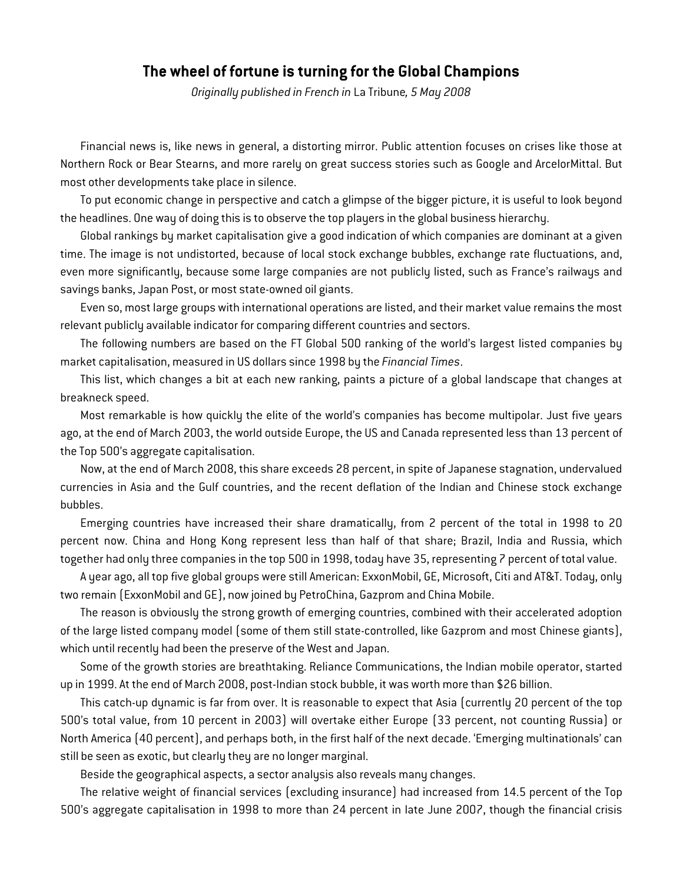## **The wheel of fortune is turning for the Global Champions**

*Originally published in French in* La Tribune*, 5 May 2008* 

Financial news is, like news in general, a distorting mirror. Public attention focuses on crises like those at Northern Rock or Bear Stearns, and more rarely on great success stories such as Google and ArcelorMittal. But most other developments take place in silence.

To put economic change in perspective and catch a glimpse of the bigger picture, it is useful to look beyond the headlines. One way of doing this is to observe the top players in the global business hierarchy.

Global rankings by market capitalisation give a good indication of which companies are dominant at a given time. The image is not undistorted, because of local stock exchange bubbles, exchange rate fluctuations, and, even more significantly, because some large companies are not publicly listed, such as France's railways and savings banks, Japan Post, or most state-owned oil giants.

Even so, most large groups with international operations are listed, and their market value remains the most relevant publicly available indicator for comparing different countries and sectors.

The following numbers are based on the FT Global 500 ranking of the world's largest listed companies by market capitalisation, measured in US dollars since 1998 by the *Financial Times*.

This list, which changes a bit at each new ranking, paints a picture of a global landscape that changes at breakneck speed.

Most remarkable is how quickly the elite of the world's companies has become multipolar. Just five years ago, at the end of March 2003, the world outside Europe, the US and Canada represented less than 13 percent of the Top 500's aggregate capitalisation.

Now, at the end of March 2008, this share exceeds 28 percent, in spite of Japanese stagnation, undervalued currencies in Asia and the Gulf countries, and the recent deflation of the Indian and Chinese stock exchange bubbles.

Emerging countries have increased their share dramatically, from 2 percent of the total in 1998 to 20 percent now. China and Hong Kong represent less than half of that share; Brazil, India and Russia, which together had only three companies in the top 500 in 1998, today have 35, representing 7 percent of total value.

A year ago, all top five global groups were still American: ExxonMobil, GE, Microsoft, Citi and AT&T. Today, only two remain (ExxonMobil and GE), now joined by PetroChina, Gazprom and China Mobile.

The reason is obviously the strong growth of emerging countries, combined with their accelerated adoption of the large listed company model (some of them still state-controlled, like Gazprom and most Chinese giants), which until recently had been the preserve of the West and Japan.

Some of the growth stories are breathtaking. Reliance Communications, the Indian mobile operator, started up in 1999. At the end of March 2008, post-Indian stock bubble, it was worth more than \$26 billion.

This catch-up dynamic is far from over. It is reasonable to expect that Asia (currently 20 percent of the top 500's total value, from 10 percent in 2003) will overtake either Europe (33 percent, not counting Russia) or North America (40 percent), and perhaps both, in the first half of the next decade. 'Emerging multinationals' can still be seen as exotic, but clearly they are no longer marginal.

Beside the geographical aspects, a sector analysis also reveals many changes.

The relative weight of financial services (excluding insurance) had increased from 14.5 percent of the Top 500's aggregate capitalisation in 1998 to more than 24 percent in late June 2007, though the financial crisis